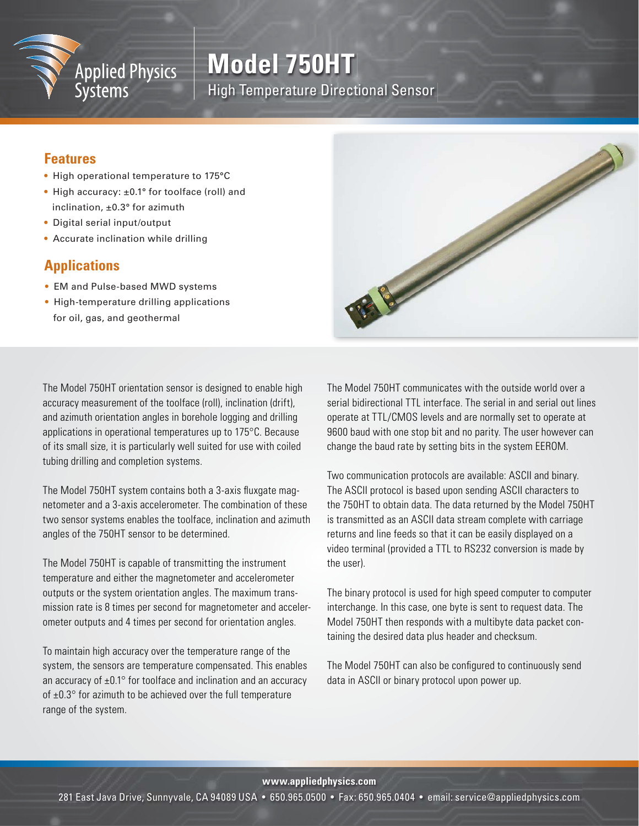

# **Model 750HT** High Temperature Directional Sensor

### **Features**

- High operational temperature to 175°C
- High accuracy: ±0.1° for toolface (roll) and inclination, ±0.3° for azimuth
- Digital serial input/output
- Accurate inclination while drilling

## **Applications**

- EM and Pulse-based MWD systems
- High-temperature drilling applications for oil, gas, and geothermal

The Model 750HT orientation sensor is designed to enable high accuracy measurement of the toolface (roll), inclination (drift), and azimuth orientation angles in borehole logging and drilling applications in operational temperatures up to 175°C. Because of its small size, it is particularly well suited for use with coiled tubing drilling and completion systems.

The Model 750HT system contains both a 3-axis fluxgate magnetometer and a 3-axis accelerometer. The combination of these two sensor systems enables the toolface, inclination and azimuth angles of the 750HT sensor to be determined.

The Model 750HT is capable of transmitting the instrument temperature and either the magnetometer and accelerometer outputs or the system orientation angles. The maximum transmission rate is 8 times per second for magnetometer and accelerometer outputs and 4 times per second for orientation angles.

To maintain high accuracy over the temperature range of the system, the sensors are temperature compensated. This enables an accuracy of  $\pm 0.1^\circ$  for toolface and inclination and an accuracy of  $\pm 0.3^\circ$  for azimuth to be achieved over the full temperature range of the system.

The Model 750HT communicates with the outside world over a serial bidirectional TTL interface. The serial in and serial out lines operate at TTL/CMOS levels and are normally set to operate at 9600 baud with one stop bit and no parity. The user however can change the baud rate by setting bits in the system EEROM.

Two communication protocols are available: ASCII and binary. The ASCII protocol is based upon sending ASCII characters to the 750HT to obtain data. The data returned by the Model 750HT is transmitted as an ASCII data stream complete with carriage returns and line feeds so that it can be easily displayed on a video terminal (provided a TTL to RS232 conversion is made by the user).

The binary protocol is used for high speed computer to computer interchange. In this case, one byte is sent to request data. The Model 750HT then responds with a multibyte data packet containing the desired data plus header and checksum.

The Model 750HT can also be configured to continuously send data in ASCII or binary protocol upon power up.

**www.appliedphysics.com**

281 East Java Drive, Sunnyvale, CA 94089 USA • 650.965.0500 • Fax: 650.965.0404 • email: service@appliedphysics.com